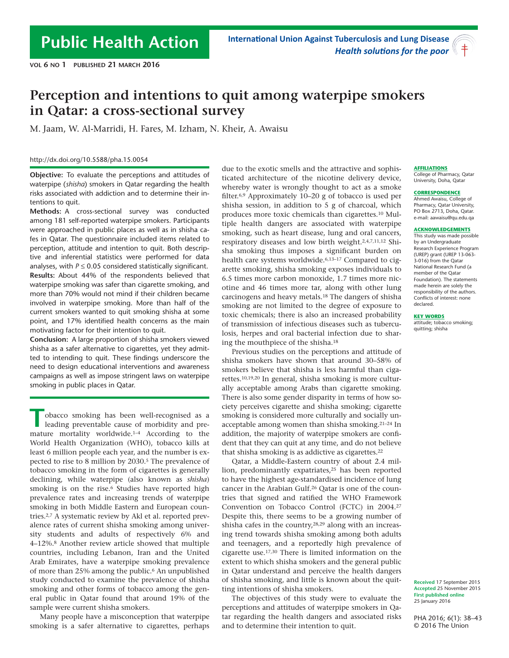# **Perception and intentions to quit among waterpipe smokers in Qatar: a cross-sectional survey**

M. Jaam, W. Al-Marridi, H. Fares, M. Izham, N. Kheir, A. Awaisu

#### http://dx.doi.org/10.5588/pha.15.0054

**Objective:** To evaluate the perceptions and attitudes of waterpipe (*shisha*) smokers in Qatar regarding the health risks associated with addiction and to determine their intentions to quit.

**Methods:** A cross-sectional survey was conducted among 181 self-reported waterpipe smokers. Participants were approached in public places as well as in shisha cafes in Qatar. The questionnaire included items related to perception, attitude and intention to quit. Both descriptive and inferential statistics were performed for data analyses, with  $P \le 0.05$  considered statistically significant. **Results:** About 44% of the respondents believed that waterpipe smoking was safer than cigarette smoking, and more than 70% would not mind if their children became involved in waterpipe smoking. More than half of the current smokers wanted to quit smoking shisha at some point, and 17% identified health concerns as the main motivating factor for their intention to quit.

**Conclusion:** A large proportion of shisha smokers viewed shisha as a safer alternative to cigarettes, yet they admitted to intending to quit. These findings underscore the need to design educational interventions and awareness campaigns as well as impose stringent laws on waterpipe smoking in public places in Qatar.

**T T**bbacco smoking has been well-recognised as a<br>
leading preventable cause of morbidity and pre-<br>
mature mortality worldwide.<sup>1-4</sup> According to the obacco smoking has been well-recognised as a leading preventable cause of morbidity and pre-World Health Organization (WHO), tobacco kills at least 6 million people each year, and the number is expected to rise to 8 million by 2030.<sup>5</sup> The prevalence of tobacco smoking in the form of cigarettes is generally declining, while waterpipe (also known as *shisha*) smoking is on the rise.<sup>6</sup> Studies have reported high prevalence rates and increasing trends of waterpipe smoking in both Middle Eastern and European countries.2,7 A systematic review by Akl et al. reported prevalence rates of current shisha smoking among university students and adults of respectively 6% and 4–12%.8 Another review article showed that multiple countries, including Lebanon, Iran and the United Arab Emirates, have a waterpipe smoking prevalence of more than 25% among the public.6 An unpublished study conducted to examine the prevalence of shisha smoking and other forms of tobacco among the general public in Qatar found that around 19% of the sample were current shisha smokers.

Many people have a misconception that waterpipe smoking is a safer alternative to cigarettes, perhaps due to the exotic smells and the attractive and sophisticated architecture of the nicotine delivery device, whereby water is wrongly thought to act as a smoke filter.6,9 Approximately 10–20 g of tobacco is used per shisha session, in addition to 5 g of charcoal, which produces more toxic chemicals than cigarettes.10 Multiple health dangers are associated with waterpipe smoking, such as heart disease, lung and oral cancers, respiratory diseases and low birth weight.2,4,7,11,12 Shisha smoking thus imposes a significant burden on health care systems worldwide.<sup>6,13-17</sup> Compared to cigarette smoking, shisha smoking exposes individuals to 6.5 times more carbon monoxide, 1.7 times more nicotine and 46 times more tar, along with other lung carcinogens and heavy metals.18 The dangers of shisha smoking are not limited to the degree of exposure to toxic chemicals; there is also an increased probability of transmission of infectious diseases such as tuberculosis, herpes and oral bacterial infection due to sharing the mouthpiece of the shisha.<sup>18</sup>

Previous studies on the perceptions and attitude of shisha smokers have shown that around 30–58% of smokers believe that shisha is less harmful than cigarettes.10,19,20 In general, shisha smoking is more culturally acceptable among Arabs than cigarette smoking. There is also some gender disparity in terms of how society perceives cigarette and shisha smoking; cigarette smoking is considered more culturally and socially unacceptable among women than shisha smoking.21–24 In addition, the majority of waterpipe smokers are confident that they can quit at any time, and do not believe that shisha smoking is as addictive as cigarettes.<sup>22</sup>

Qatar, a Middle-Eastern country of about 2.4 million, predominantly expatriates,<sup>25</sup> has been reported to have the highest age-standardised incidence of lung cancer in the Arabian Gulf.26 Qatar is one of the countries that signed and ratified the WHO Framework Convention on Tobacco Control (FCTC) in 2004.<sup>27</sup> Despite this, there seems to be a growing number of shisha cafes in the country,<sup>28,29</sup> along with an increasing trend towards shisha smoking among both adults and teenagers, and a reportedly high prevalence of cigarette use.17,30 There is limited information on the extent to which shisha smokers and the general public in Qatar understand and perceive the health dangers of shisha smoking, and little is known about the quitting intentions of shisha smokers.

The objectives of this study were to evaluate the perceptions and attitudes of waterpipe smokers in Qatar regarding the health dangers and associated risks and to determine their intention to quit.

#### **AFFILIATIONS**

College of Pharmacy, Qatar University, Doha, Qatar

#### **CORRESPONDENCE**

Ahmed Awaisu, College of Pharmacy, Qatar University, PO Box 2713, Doha, Qatar. e-mail: aawaisu@qu.edu.qa

#### **ACKNOWLEDGEMENTS**

This study was made possible by an Undergraduate Research Experience Program (UREP) grant (UREP 13-063- 3-016) from the Qatar National Research Fund (a member of the Qatar Foundation). The statements made herein are solely the responsibility of the authors. Conflicts of interest: none declared.

#### **KEY WORDS**

attitude; tobacco smoking; quitting; shisha

**Received** 17 September 2015 **Accepted** 25 November 2015 **First published online**  25 January 2016

PHA 2016; 6(1): 38–43 © 2016 The Union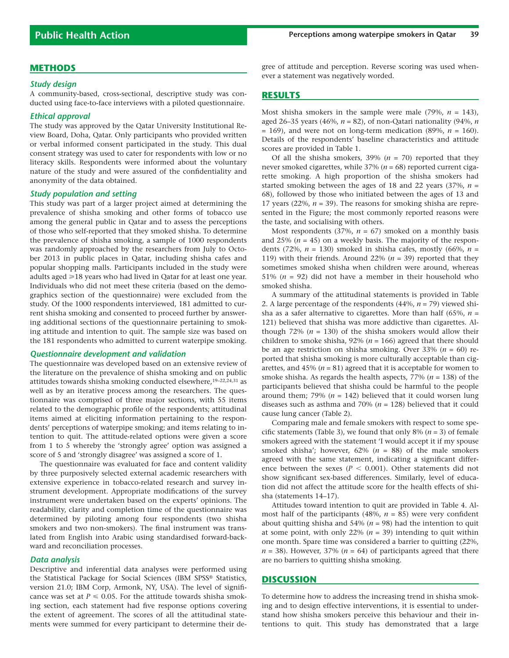### **METHODS**

#### *Study design*

A community-based, cross-sectional, descriptive study was conducted using face-to-face interviews with a piloted questionnaire.

#### *Ethical approval*

The study was approved by the Qatar University Institutional Review Board, Doha, Qatar. Only participants who provided written or verbal informed consent participated in the study. This dual consent strategy was used to cater for respondents with low or no literacy skills. Respondents were informed about the voluntary nature of the study and were assured of the confidentiality and anonymity of the data obtained.

#### *Study population and setting*

This study was part of a larger project aimed at determining the prevalence of shisha smoking and other forms of tobacco use among the general public in Qatar and to assess the perceptions of those who self-reported that they smoked shisha. To determine the prevalence of shisha smoking, a sample of 1000 respondents was randomly approached by the researchers from July to October 2013 in public places in Qatar, including shisha cafes and popular shopping malls. Participants included in the study were adults aged  $\geq 18$  years who had lived in Qatar for at least one year. Individuals who did not meet these criteria (based on the demographics section of the questionnaire) were excluded from the study. Of the 1000 respondents interviewed, 181 admitted to current shisha smoking and consented to proceed further by answering additional sections of the questionnaire pertaining to smoking attitude and intention to quit. The sample size was based on the 181 respondents who admitted to current waterpipe smoking.

#### *Questionnaire development and validation*

The questionnaire was developed based on an extensive review of the literature on the prevalence of shisha smoking and on public attitudes towards shisha smoking conducted elsewhere,19–22,24,31 as well as by an iterative process among the researchers. The questionnaire was comprised of three major sections, with 55 items related to the demographic profile of the respondents; attitudinal items aimed at eliciting information pertaining to the respondents' perceptions of waterpipe smoking; and items relating to intention to quit. The attitude-related options were given a score from 1 to 5 whereby the 'strongly agree' option was assigned a score of 5 and 'strongly disagree' was assigned a score of 1.

The questionnaire was evaluated for face and content validity by three purposively selected external academic researchers with extensive experience in tobacco-related research and survey instrument development. Appropriate modifications of the survey instrument were undertaken based on the experts' opinions. The readability, clarity and completion time of the questionnaire was determined by piloting among four respondents (two shisha smokers and two non-smokers). The final instrument was translated from English into Arabic using standardised forward-backward and reconciliation processes.

#### *Data analysis*

Descriptive and inferential data analyses were performed using the Statistical Package for Social Sciences (IBM SPSS® Statistics, version 21.0; IBM Corp, Armonk, NY, USA). The level of significance was set at  $P \le 0.05$ . For the attitude towards shisha smoking section, each statement had five response options covering the extent of agreement. The scores of all the attitudinal statements were summed for every participant to determine their degree of attitude and perception. Reverse scoring was used whenever a statement was negatively worded.

## **RESULTS**

Most shisha smokers in the sample were male  $(79\%, n = 143)$ , aged 26–35 years (46%, *n* = 82), of non-Qatari nationality (94%, *n*  $= 169$ ), and were not on long-term medication (89%,  $n = 160$ ). Details of the respondents' baseline characteristics and attitude scores are provided in Table 1.

Of all the shisha smokers,  $39\%$  ( $n = 70$ ) reported that they never smoked cigarettes, while 37% (*n* = 68) reported current cigarette smoking. A high proportion of the shisha smokers had started smoking between the ages of 18 and 22 years (37%, *n* = 68), followed by those who initiated between the ages of 13 and 17 years (22%,  $n = 39$ ). The reasons for smoking shisha are represented in the Figure; the most commonly reported reasons were the taste, and socialising with others.

Most respondents  $(37\%, n = 67)$  smoked on a monthly basis and  $25\%$  ( $n = 45$ ) on a weekly basis. The majority of the respondents (72%, *n* = 130) smoked in shisha cafes, mostly (66%, *n* = 119) with their friends. Around 22% (*n* = 39) reported that they sometimes smoked shisha when children were around, whereas 51% (*n* = 92) did not have a member in their household who smoked shisha.

A summary of the attitudinal statements is provided in Table 2. A large percentage of the respondents (44%, *n* = 79) viewed shisha as a safer alternative to cigarettes. More than half (65%, *n* = 121) believed that shisha was more addictive than cigarettes. Although 72%  $(n = 130)$  of the shisha smokers would allow their children to smoke shisha, 92% (*n* = 166) agreed that there should be an age restriction on shisha smoking. Over 33% (*n* = 60) reported that shisha smoking is more culturally acceptable than cigarettes, and  $45\%$  ( $n = 81$ ) agreed that it is acceptable for women to smoke shisha. As regards the health aspects, 77% (*n* = 138) of the participants believed that shisha could be harmful to the people around them; 79%  $(n = 142)$  believed that it could worsen lung diseases such as asthma and 70% (*n* = 128) believed that it could cause lung cancer (Table 2).

Comparing male and female smokers with respect to some specific statements (Table 3), we found that only 8% (*n* = 3) of female smokers agreed with the statement 'I would accept it if my spouse smoked shisha'; however, 62% (*n* = 88) of the male smokers agreed with the same statement, indicating a significant difference between the sexes ( $P < 0.001$ ). Other statements did not show significant sex-based differences. Similarly, level of education did not affect the attitude score for the health effects of shisha (statements 14–17).

Attitudes toward intention to quit are provided in Table 4. Almost half of the participants  $(48\%, n = 85)$  were very confident about quitting shisha and 54% (*n* = 98) had the intention to quit at some point, with only 22% (*n* = 39) intending to quit within one month. Spare time was considered a barrier to quitting (22%,  $n = 38$ ). However, 37% ( $n = 64$ ) of participants agreed that there are no barriers to quitting shisha smoking.

#### **DISCUSSION**

To determine how to address the increasing trend in shisha smoking and to design effective interventions, it is essential to understand how shisha smokers perceive this behaviour and their intentions to quit. This study has demonstrated that a large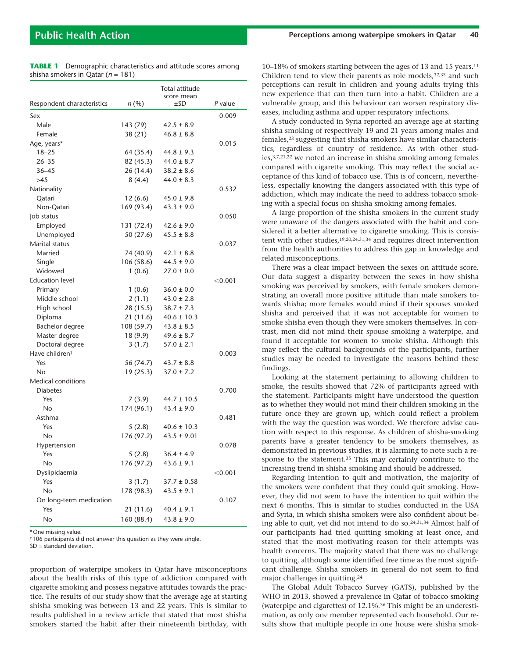|                            |            | Total attitude         |           |
|----------------------------|------------|------------------------|-----------|
| Respondent characteristics | n(%)       | score mean<br>$\pm$ SD | P value   |
| Sex                        |            |                        | 0.009     |
| Male                       | 143 (79)   | $42.5 \pm 8.9$         |           |
| Female                     | 38 (21)    | $46.8 \pm 8.8$         |           |
| Age, years*                |            |                        | 0.015     |
| $18 - 25$                  | 64 (35.4)  | $44.8 \pm 9.3$         |           |
| $26 - 35$                  | 82 (45.3)  | $44.0 \pm 8.7$         |           |
| $36 - 45$                  | 26(14.4)   | $38.2 \pm 8.6$         |           |
| >45                        | 8(4.4)     | $44.0 \pm 8.3$         |           |
| Nationality                |            |                        | 0.532     |
| Qatari                     | 12(6.6)    | $45.0 \pm 9.8$         |           |
| Non-Qatari                 | 169 (93.4) | $43.3 \pm 9.0$         |           |
| Job status                 |            |                        | 0.050     |
| Employed                   | 131 (72.4) | $42.6 \pm 9.0$         |           |
| Unemployed                 | 50 (27.6)  | $45.5 \pm 8.8$         |           |
| Marital status             |            |                        | 0.037     |
| Married                    | 74 (40.9)  | $42.1 \pm 8.8$         |           |
| Single                     | 106 (58.6) | $44.5 \pm 9.0$         |           |
| Widowed                    | 1(0.6)     | $27.0 \pm 0.0$         |           |
| <b>Education level</b>     |            |                        | $<$ 0.001 |
| Primary                    | 1(0.6)     | $36.0 \pm 0.0$         |           |
| Middle school              | 2(1.1)     | $43.0 \pm 2.8$         |           |
| High school                | 28 (15.5)  | $38.7 \pm 7.3$         |           |
| Diploma                    | 21 (11.6)  | $40.6 \pm 10.3$        |           |
| Bachelor degree            | 108 (59.7) | $43.8 \pm 8.5$         |           |
| Master degree              | 18(9.9)    | $49.6 \pm 8.7$         |           |
| Doctoral degree            | 3(1.7)     | $57.0 \pm 2.1$         |           |
| Have children <sup>†</sup> |            |                        | 0.003     |
| Yes                        | 56 (74.7)  | $43.7 \pm 8.8$         |           |
| No                         | 19(25.3)   | $37.0 \pm 7.2$         |           |
| <b>Medical conditions</b>  |            |                        |           |
| <b>Diabetes</b>            |            |                        | 0.700     |
| Yes                        | 7(3.9)     | $44.7 \pm 10.5$        |           |
| No                         | 174 (96.1) | $43.4 \pm 9.0$         |           |
| Asthma                     |            |                        | 0.481     |
| Yes                        | 5(2.8)     | $40.6 \pm 10.3$        |           |
| No                         | 176 (97.2) | $43.5 \pm 9.01$        |           |
| Hypertension               |            |                        | 0.078     |
| Yes                        | 5(2.8)     | $36.4 \pm 4.9$         |           |
| No                         | 176 (97.2) | $43.6 \pm 9.1$         |           |
| Dyslipidaemia              |            |                        | $<$ 0.001 |
| Yes                        | 3(1.7)     | $37.7 \pm 0.58$        |           |
| <b>No</b>                  | 178 (98.3) | $43.5 \pm 9.1$         |           |
| On long-term medication    |            |                        | 0.107     |
| Yes                        | 21 (11.6)  | $40.4 \pm 9.1$         |           |
| No                         | 160 (88.4) | $43.8 \pm 9.0$         |           |

**TABLE 1** Demographic characteristics and attitude scores among shisha smokers in Qatar (*n* = 181)

\* One missing value.

† 106 participants did not answer this question as they were single.

SD = standard deviation.

proportion of waterpipe smokers in Qatar have misconceptions about the health risks of this type of addiction compared with cigarette smoking and possess negative attitudes towards the practice. The results of our study show that the average age at starting shisha smoking was between 13 and 22 years. This is similar to results published in a review article that stated that most shisha smokers started the habit after their nineteenth birthday, with 10–18% of smokers starting between the ages of 13 and 15 years.<sup>11</sup> Children tend to view their parents as role models,<sup>32,33</sup> and such perceptions can result in children and young adults trying this new experience that can then turn into a habit. Children are a vulnerable group, and this behaviour can worsen respiratory diseases, including asthma and upper respiratory infections.

A study conducted in Syria reported an average age at starting shisha smoking of respectively 19 and 21 years among males and females,23 suggesting that shisha smokers have similar characteristics, regardless of country of residence. As with other studies,3,7,21,22 we noted an increase in shisha smoking among females compared with cigarette smoking. This may reflect the social acceptance of this kind of tobacco use. This is of concern, nevertheless, especially knowing the dangers associated with this type of addiction, which may indicate the need to address tobacco smoking with a special focus on shisha smoking among females.

A large proportion of the shisha smokers in the current study were unaware of the dangers associated with the habit and considered it a better alternative to cigarette smoking. This is consistent with other studies,19,20,24,31,34 and requires direct intervention from the health authorities to address this gap in knowledge and related misconceptions.

There was a clear impact between the sexes on attitude score. Our data suggest a disparity between the sexes in how shisha smoking was perceived by smokers, with female smokers demonstrating an overall more positive attitude than male smokers towards shisha; more females would mind if their spouses smoked shisha and perceived that it was not acceptable for women to smoke shisha even though they were smokers themselves. In contrast, men did not mind their spouse smoking a waterpipe, and found it acceptable for women to smoke shisha. Although this may reflect the cultural backgrounds of the participants, further studies may be needed to investigate the reasons behind these findings.

Looking at the statement pertaining to allowing children to smoke, the results showed that 72% of participants agreed with the statement. Participants might have understood the question as to whether they would not mind their children smoking in the future once they are grown up, which could reflect a problem with the way the question was worded. We therefore advise caution with respect to this response. As children of shisha-smoking parents have a greater tendency to be smokers themselves, as demonstrated in previous studies, it is alarming to note such a response to the statement.35 This may certainly contribute to the increasing trend in shisha smoking and should be addressed.

Regarding intention to quit and motivation, the majority of the smokers were confident that they could quit smoking. However, they did not seem to have the intention to quit within the next 6 months. This is similar to studies conducted in the USA and Syria, in which shisha smokers were also confident about being able to quit, yet did not intend to do so.24,31,34 Almost half of our participants had tried quitting smoking at least once, and stated that the most motivating reason for their attempts was health concerns. The majority stated that there was no challenge to quitting, although some identified free time as the most significant challenge. Shisha smokers in general do not seem to find major challenges in quitting.<sup>24</sup>

The Global Adult Tobacco Survey (GATS), published by the WHO in 2013, showed a prevalence in Qatar of tobacco smoking (waterpipe and cigarettes) of 12.1%.36 This might be an underestimation, as only one member represented each household. Our results show that multiple people in one house were shisha smok-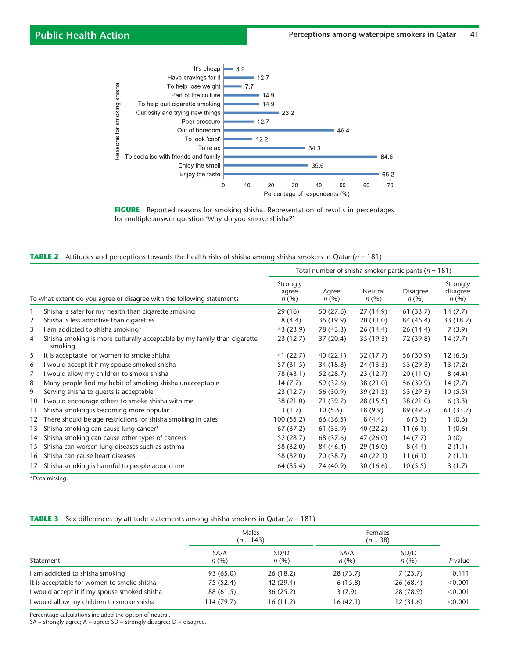

**FIGURE** Reported reasons for smoking shisha. Representation of results in percentages for multiple answer question 'Why do you smoke shisha?'

|  | <b>TABLE 2</b> Attitudes and perceptions towards the health risks of shisha among shisha smokers in Qatar ( $n = 181$ ) |  |  |  |  |  |  |  |  |  |  |
|--|-------------------------------------------------------------------------------------------------------------------------|--|--|--|--|--|--|--|--|--|--|
|--|-------------------------------------------------------------------------------------------------------------------------|--|--|--|--|--|--|--|--|--|--|

|              |                                                                                     | Total number of shisha smoker participants ( $n = 181$ ) |               |                 |                         |                              |
|--------------|-------------------------------------------------------------------------------------|----------------------------------------------------------|---------------|-----------------|-------------------------|------------------------------|
|              | To what extent do you agree or disagree with the following statements               | Strongly<br>agree<br>n(%)                                | Agree<br>n(%) | Neutral<br>n(%) | <b>Disagree</b><br>n(%) | Strongly<br>disagree<br>n(%) |
| $\mathbf{1}$ | Shisha is safer for my health than cigarette smoking                                | 29 (16)                                                  | 50(27.6)      | 27(14.9)        | 61(33.7)                | 14(7.7)                      |
| 2            | Shisha is less addictive than cigarettes                                            | 8(4.4)                                                   | 36(19.9)      | 20(11.0)        | 84 (46.4)               | 33(18.2)                     |
| 3            | am addicted to shisha smoking*                                                      | 43 (23.9)                                                | 78 (43.3)     | 26(14.4)        | 26(14.4)                | 7(3.9)                       |
| 4            | Shisha smoking is more culturally acceptable by my family than cigarette<br>smoking | 23 (12.7)                                                | 37(20.4)      | 35(19.3)        | 72 (39.8)               | 14(7.7)                      |
| 5            | It is acceptable for women to smoke shisha                                          | 41(22.7)                                                 | 40(22.1)      | 32(17.7)        | 56 (30.9)               | 12(6.6)                      |
| 6            | I would accept it if my spouse smoked shisha                                        | 57 (31.5)                                                | 34 (18.8)     | 24 (13.3)       | 53 (29.3)               | 13(7.2)                      |
| 7            | I would allow my children to smoke shisha                                           | 78 (43.1)                                                | 52(28.7)      | 23(12.7)        | 20(11.0)                | 8(4.4)                       |
| 8            | Many people find my habit of smoking shisha unacceptable                            | 14(7.7)                                                  | 59 (32.6)     | 38(21.0)        | 56 (30.9)               | 14(7.7)                      |
| 9            | Serving shisha to quests is acceptable                                              | 23(12.7)                                                 | 56 (30.9)     | 39(21.5)        | 53(29.3)                | 10(5.5)                      |
| 10           | I would encourage others to smoke shisha with me                                    | 38(21.0)                                                 | 71(39.2)      | 28 (15.5)       | 38 (21.0)               | 6(3.3)                       |
| 11           | Shisha smoking is becoming more popular                                             | 3(1.7)                                                   | 10(5.5)       | 18(9.9)         | 89 (49.2)               | 61(33.7)                     |
| 12           | There should be age restrictions for shisha smoking in cafes                        | 100(55.2)                                                | 66 (36.5)     | 8(4.4)          | 6(3.3)                  | 1(0.6)                       |
| 13           | Shisha smoking can cause lung cancer*                                               | 67(37.2)                                                 | 61 (33.9)     | 40(22.2)        | 11(6.1)                 | 1(0.6)                       |
| 14           | Shisha smoking can cause other types of cancers                                     | 52 (28.7)                                                | 68 (37.6)     | 47(26.0)        | 14(7.7)                 | 0(0)                         |
| 15           | Shisha can worsen lung diseases such as asthma                                      | 58 (32.0)                                                | 84 (46.4)     | 29(16.0)        | 8(4.4)                  | 2(1.1)                       |
| 16           | Shisha can cause heart diseases                                                     | 58 (32.0)                                                | 70 (38.7)     | 40 (22.1)       | 11(6.1)                 | 2(1.1)                       |
| 17           | Shisha smoking is harmful to people around me                                       | 64 (35.4)                                                | 74 (40.9)     | 30(16.6)        | 10(5.5)                 | 3(1.7)                       |

\* Data missing.

#### **TABLE 3** Sex differences by attitude statements among shisha smokers in Qatar (*n* = 181)

|                                              | Males<br>$(n = 143)$ |              | Females<br>$(n = 38)$ |              |           |  |
|----------------------------------------------|----------------------|--------------|-----------------------|--------------|-----------|--|
| Statement                                    | SA/A<br>n(%)         | SD/D<br>n(%) | SA/A<br>n(%)          | SD/D<br>n(%) | $P$ value |  |
| I am addicted to shisha smoking              | 93 (65.0)            | 26(18.2)     | 28(73.7)              | 7(23.7)      | 0.111     |  |
| It is acceptable for women to smoke shisha   | 75 (52.4)            | 42 (29.4)    | 6(15.8)               | 26(68.4)     | < 0.001   |  |
| I would accept it if my spouse smoked shisha | 88 (61.5)            | 36(25.2)     | 3(7.9)                | 28 (78.9)    | < 0.001   |  |
| I would allow my children to smoke shisha    | 114(79.7)            | 16(11.2)     | 16(42.1)              | 12(31.6)     | < 0.001   |  |

Percentage calculations included the option of neutral.

 $SA =$  strongly agree;  $A =$  agree;  $SD =$  strongly disagree;  $D =$  disagree.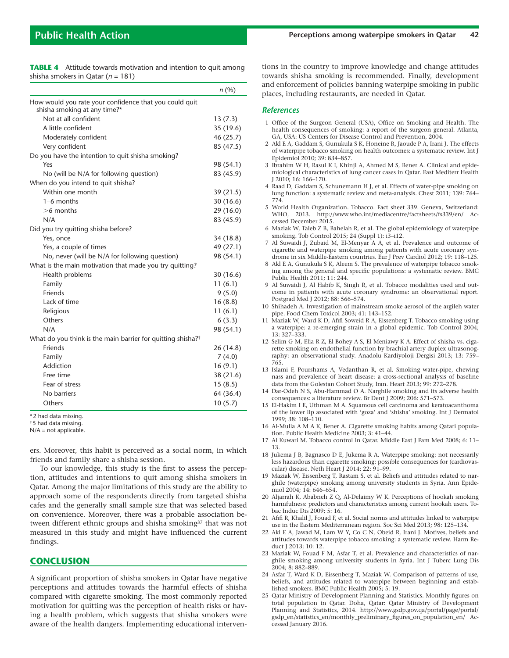**TABLE 4** Attitude towards motivation and intention to quit among shisha smokers in Qatar (*n* = 181)

|                                                                                        | n(%)      |
|----------------------------------------------------------------------------------------|-----------|
| How would you rate your confidence that you could quit<br>shisha smoking at any time?* |           |
| Not at all confident                                                                   | 13(7.3)   |
| A little confident                                                                     | 35 (19.6) |
| Moderately confident                                                                   | 46 (25.7) |
| Very confident                                                                         | 85 (47.5) |
| Do you have the intention to quit shisha smoking?                                      |           |
| Yes                                                                                    | 98 (54.1) |
| No (will be N/A for following question)                                                | 83 (45.9) |
| When do you intend to quit shisha?                                                     |           |
| Within one month                                                                       | 39(21.5)  |
| 1–6 months                                                                             | 30(16.6)  |
| $>6$ months                                                                            | 29(16.0)  |
| N/A                                                                                    | 83 (45.9) |
| Did you try quitting shisha before?                                                    |           |
| Yes, once                                                                              | 34 (18.8) |
| Yes, a couple of times                                                                 | 49 (27.1) |
| No, never (will be N/A for following question)                                         | 98 (54.1) |
| What is the main motivation that made you try quitting?                                |           |
| Health problems                                                                        | 30(16.6)  |
| Family                                                                                 | 11(6.1)   |
| Friends                                                                                | 9(5.0)    |
| Lack of time                                                                           | 16(8.8)   |
| Religious                                                                              | 11(6.1)   |
| Others                                                                                 | 6(3.3)    |
| N/A                                                                                    | 98 (54.1) |
| What do you think is the main barrier for quitting shisha? <sup>†</sup>                |           |
| Friends                                                                                | 26 (14.8) |
| Family                                                                                 | 7(4.0)    |
| Addiction                                                                              | 16(9.1)   |
| Free time                                                                              | 38(21.6)  |
| Fear of stress                                                                         | 15(8.5)   |
| No barriers                                                                            | 64 (36.4) |
| Others                                                                                 | 10(5.7)   |

\* 2 had data missing.

† 5 had data missing.

 $N/A$  = not applicable.

ers. Moreover, this habit is perceived as a social norm, in which friends and family share a shisha session.

To our knowledge, this study is the first to assess the perception, attitudes and intentions to quit among shisha smokers in Qatar. Among the major limitations of this study are the ability to approach some of the respondents directly from targeted shisha cafes and the generally small sample size that was selected based on convenience. Moreover, there was a probable association between different ethnic groups and shisha smoking<sup>37</sup> that was not measured in this study and might have influenced the current findings.

#### **CONCLUSION**

A significant proportion of shisha smokers in Qatar have negative perceptions and attitudes towards the harmful effects of shisha compared with cigarette smoking. The most commonly reported motivation for quitting was the perception of health risks or having a health problem, which suggests that shisha smokers were aware of the health dangers. Implementing educational interventions in the country to improve knowledge and change attitudes towards shisha smoking is recommended. Finally, development and enforcement of policies banning waterpipe smoking in public places, including restaurants, are needed in Qatar.

#### *References*

- 1 Office of the Surgeon General (USA), Office on Smoking and Health. The health consequences of smoking: a report of the surgeon general. Atlanta, GA, USA: US Centers for Disease Control and Prevention, 2004.
- 2 Akl E A, Gaddam S, Gunukula S K, Honeine R, Jaoude P A, Irani J. The effects of waterpipe tobacco smoking on health outcomes: a systematic review. Int J Epidemiol 2010; 39: 834–857.
- 3 Ibrahim W H, Rasul K I, Khinji A, Ahmed M S, Bener A. Clinical and epidemiological characteristics of lung cancer cases in Qatar. East Mediterr Health J 2010; 16: 166–170.
- 4 Raad D, Gaddam S, Schunemann H J, et al. Effects of water-pipe smoking on lung function: a systematic review and meta-analysis. Chest 2011; 139: 764– 774.
- 5 World Health Organization. Tobacco. Fact sheet 339. Geneva, Switzerland: WHO, 2013. http://www.who.int/mediacentre/factsheets/fs339/en/ Accessed December 2015.
- 6 Maziak W, Taleb Z B, Bahelah R, et al. The global epidemiology of waterpipe smoking. Tob Control 2015; 24 (Suppl 1): i3–i12.
- 7 Al Suwaidi J, Zubaid M, El-Menyar A A, et al. Prevalence and outcome of cigarette and waterpipe smoking among patients with acute coronary syndrome in six Middle-Eastern countries. Eur J Prev Cardiol 2012; 19: 118–125.
- 8 Akl E A, Gunukula S K, Aleem S. The prevalence of waterpipe tobacco smoking among the general and specific populations: a systematic review. BMC Public Health 2011; 11: 244.
- 9 Al Suwaidi J, Al Habib K, Singh R, et al. Tobacco modalities used and outcome in patients with acute coronary syndrome: an observational report. Postgrad Med J 2012; 88: 566–574.
- 10 Shihadeh A. Investigation of mainstream smoke aerosol of the argileh water pipe. Food Chem Toxicol 2003; 41: 143–152.
- 11 Maziak W, Ward K D, Afifi Soweid R A, Eissenberg T. Tobacco smoking using a waterpipe: a re-emerging strain in a global epidemic. Tob Control 2004; 13: 327–333.
- 12 Selim G M, Elia R Z, El Bohey A S, El Meniawy K A. Effect of shisha vs. cigarette smoking on endothelial function by brachial artery duplex ultrasonography: an observational study. Anadolu Kardiyoloji Dergisi 2013; 13: 759– 765.
- 13 Islami F, Pourshams A, Vedanthan R, et al. Smoking water-pipe, chewing nass and prevalence of heart disease: a cross-sectional analysis of baseline data from the Golestan Cohort Study, Iran. Heart 2013; 99: 272–278.
- 14 Dar-Odeh N S, Abu-Hammad O A. Narghile smoking and its adverse health consequences: a literature review. Br Dent J 2009; 206: 571–573.
- 15 El-Hakim I E, Uthman M A. Squamous cell carcinoma and keratoacanthoma of the lower lip associated with 'goza' and 'shisha' smoking. Int J Dermatol 1999; 38: 108–110.
- 16 Al-Mulla A M A K, Bener A. Cigarette smoking habits among Qatari population. Public Health Medicine 2003; 3: 41–44.
- 17 Al Kuwari M. Tobacco control in Qatar. Middle East J Fam Med 2008; 6: 11– 13.
- 18 Jukema J B, Bagnasco D E, Jukema R A. Waterpipe smoking: not necessarily less hazardous than cigarette smoking: possible consequences for (cardiovascular) disease. Neth Heart J 2014; 22: 91–99.
- 19 Maziak W, Eissenberg T, Rastam S, et al. Beliefs and attitudes related to narghile (waterpipe) smoking among university students in Syria. Ann Epidemiol 2004; 14: 646–654.
- 20 Aljarrah K, Ababneh Z Q, Al-Delaimy W K. Perceptions of hookah smoking harmfulness: predictors and characteristics among current hookah users. Tobac Induc Dis 2009; 5: 16.
- 21 Afifi R, Khalil J, Fouad F, et al. Social norms and attitudes linked to waterpipe use in the Eastern Mediterranean region. Soc Sci Med 2013; 98: 125–134.
- 22 Akl E A, Jawad M, Lam W Y, Co C N, Obeid R, Irani J. Motives, beliefs and attitudes towards waterpipe tobacco smoking: a systematic review. Harm Reduct J 2013; 10: 12.
- 23 Maziak W, Fouad F M, Asfar T, et al. Prevalence and characteristics of narghile smoking among university students in Syria. Int J Tuberc Lung Dis 2004; 8: 882–889.
- 24 Asfar T, Ward K D, Eissenberg T, Maziak W. Comparison of patterns of use, beliefs, and attitudes related to waterpipe between beginning and established smokers. BMC Public Health 2005; 5: 19.
- 25 Qatar Ministry of Development Planning and Statistics. Monthly figures on total population in Qatar. Doha, Qatar: Qatar Ministry of Development Planning and Statistics, 2014. http://www.gsdp.gov.qa/portal/page/portal/ gsdp\_en/statistics\_en/monthly\_preliminary\_figures\_on\_population\_en/ Accessed January 2016.